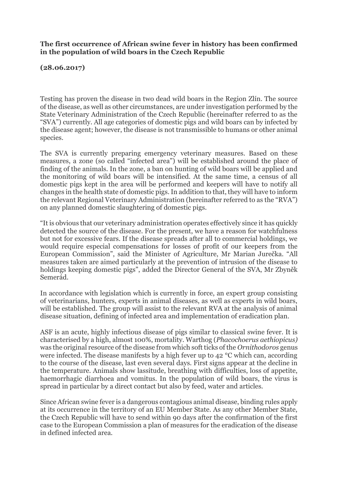## **The first occurrence of African swine fever in history has been confirmed in the population of wild boars in the Czech Republic**

**(28.06.2017)**

Testing has proven the disease in two dead wild boars in the Region Zlín. The source of the disease, as well as other circumstances, are under investigation performed by the State Veterinary Administration of the Czech Republic (hereinafter referred to as the "SVA") currently. All age categories of domestic pigs and wild boars can by infected by the disease agent; however, the disease is not transmissible to humans or other animal species.

The SVA is currently preparing emergency veterinary measures. Based on these measures, a zone (so called "infected area") will be established around the place of finding of the animals. In the zone, a ban on hunting of wild boars will be applied and the monitoring of wild boars will be intensified. At the same time, a census of all domestic pigs kept in the area will be performed and keepers will have to notify all changes in the health state of domestic pigs. In addition to that, they will have to inform the relevant Regional Veterinary Administration (hereinafter referred to as the "RVA") on any planned domestic slaughtering of domestic pigs.

"It is obvious that our veterinary administration operates effectively since it has quickly detected the source of the disease. For the present, we have a reason for watchfulness but not for excessive fears. If the disease spreads after all to commercial holdings, we would require especial compensations for losses of profit of our keepers from the European Commission", said the Minister of Agriculture, Mr Marian Jurečka. "All measures taken are aimed particularly at the prevention of intrusion of the disease to holdings keeping domestic pigs", added the Director General of the SVA, Mr Zbyněk Semerád.

In accordance with legislation which is currently in force, an expert group consisting of veterinarians, hunters, experts in animal diseases, as well as experts in wild boars, will be established. The group will assist to the relevant RVA at the analysis of animal disease situation, defining of infected area and implementation of eradication plan.

ASF is an acute, highly infectious disease of pigs similar to classical swine fever. It is characterised by a high, almost 100%, mortality. Warthog (*Phacochoerus aethiopicus)* was the original resource of the disease from which soft ticks of the *Ornithodoros* genus were infected. The disease manifests by a high fever up to 42 °C which can, according to the course of the disease, last even several days. First signs appear at the decline in the temperature. Animals show lassitude, breathing with difficulties, loss of appetite, haemorrhagic diarrhoea and vomitus. In the population of wild boars, the virus is spread in particular by a direct contact but also by feed, water and articles.

Since African swine fever is a dangerous contagious animal disease, binding rules apply at its occurrence in the territory of an EU Member State. As any other Member State, the Czech Republic will have to send within 90 days after the confirmation of the first case to the European Commission a plan of measures for the eradication of the disease in defined infected area.